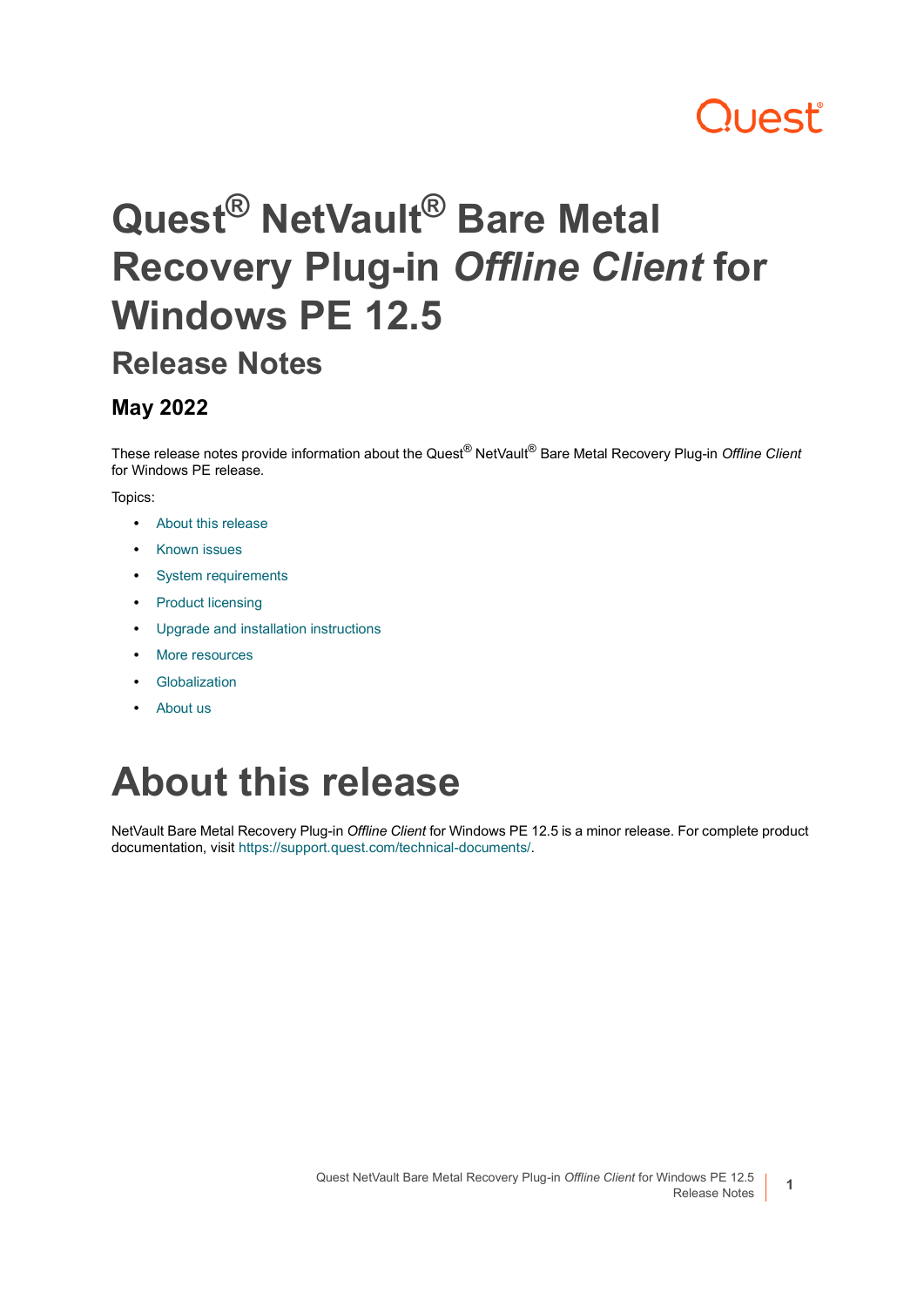# **Quest**

# **Quest® NetVault® Bare Metal Recovery Plug-in** *Offline Client* **for Windows PE 12.5**

### **Release Notes**

### **May 2022**

These release notes provide information about the Quest® NetVault® Bare Metal Recovery Plug-in *Offline Client* for Windows PE release.

#### Topics:

- **•** [About this release](#page-0-0)
- **•** [Known issues](#page-1-2)
- **•** [System requirements](#page-1-0)
- **•** [Product licensing](#page-1-1)
- **•** [Upgrade and installation instructions](#page-2-0)
- **•** [More resources](#page-3-0)
- **•** [Globalization](#page-3-1)
- **•** [About us](#page-3-2)

# <span id="page-0-0"></span>**About this release**

NetVault Bare Metal Recovery Plug-in *Offline Client* for Windows PE 12.5 is a minor release. For complete product documentation, visit <https://support.quest.com/technical-documents/>.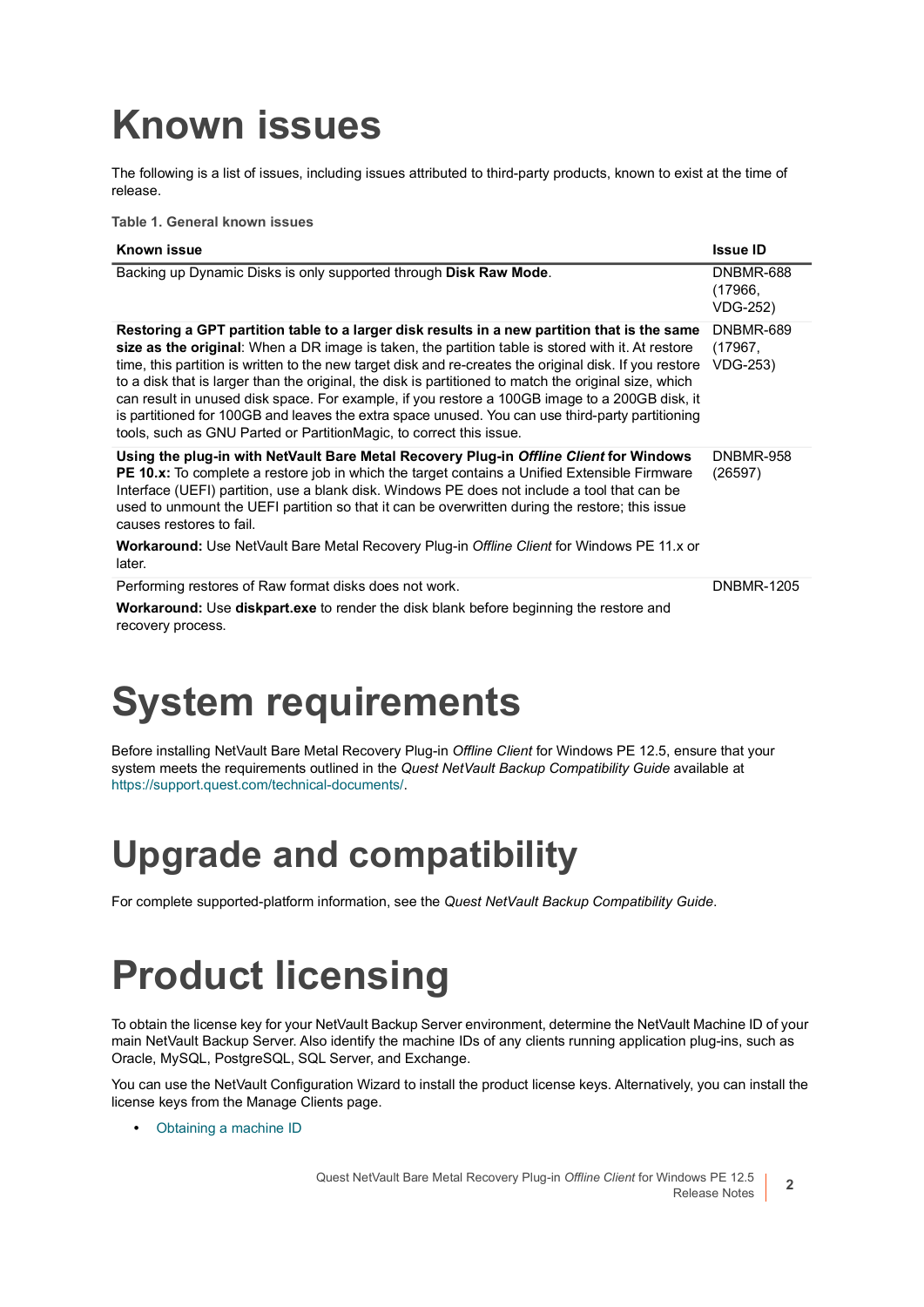# <span id="page-1-2"></span>**Known issues**

The following is a list of issues, including issues attributed to third-party products, known to exist at the time of release.

**Table 1. General known issues**

| Known issue                                                                                                                                                                                                                                                                                                                                                                                                                                                                                                                                                                                                                                                                                        | <b>Issue ID</b>                                |
|----------------------------------------------------------------------------------------------------------------------------------------------------------------------------------------------------------------------------------------------------------------------------------------------------------------------------------------------------------------------------------------------------------------------------------------------------------------------------------------------------------------------------------------------------------------------------------------------------------------------------------------------------------------------------------------------------|------------------------------------------------|
| Backing up Dynamic Disks is only supported through Disk Raw Mode.                                                                                                                                                                                                                                                                                                                                                                                                                                                                                                                                                                                                                                  | <b>DNBMR-688</b><br>(17966,<br><b>VDG-252)</b> |
| Restoring a GPT partition table to a larger disk results in a new partition that is the same<br>size as the original: When a DR image is taken, the partition table is stored with it. At restore<br>time, this partition is written to the new target disk and re-creates the original disk. If you restore<br>to a disk that is larger than the original, the disk is partitioned to match the original size, which<br>can result in unused disk space. For example, if you restore a 100GB image to a 200GB disk, it<br>is partitioned for 100GB and leaves the extra space unused. You can use third-party partitioning<br>tools, such as GNU Parted or PartitionMagic, to correct this issue. | DNBMR-689<br>(17967,<br><b>VDG-253)</b>        |
| Using the plug-in with NetVault Bare Metal Recovery Plug-in Offline Client for Windows<br>PE 10.x: To complete a restore job in which the target contains a Unified Extensible Firmware<br>Interface (UEFI) partition, use a blank disk. Windows PE does not include a tool that can be<br>used to unmount the UEFI partition so that it can be overwritten during the restore; this issue<br>causes restores to fail.                                                                                                                                                                                                                                                                             | DNBMR-958<br>(26597)                           |
| <b>Workaround:</b> Use NetVault Bare Metal Recovery Plug-in Offline Client for Windows PE 11.x or<br>later.                                                                                                                                                                                                                                                                                                                                                                                                                                                                                                                                                                                        |                                                |
| Performing restores of Raw format disks does not work.                                                                                                                                                                                                                                                                                                                                                                                                                                                                                                                                                                                                                                             | <b>DNBMR-1205</b>                              |
| <b>Workaround:</b> Use <b>diskpart.exe</b> to render the disk blank before beginning the restore and<br>recovery process.                                                                                                                                                                                                                                                                                                                                                                                                                                                                                                                                                                          |                                                |

# <span id="page-1-0"></span>**System requirements**

Before installing NetVault Bare Metal Recovery Plug-in *Offline Client* for Windows PE 12.5, ensure that your system meets the requirements outlined in the *Quest NetVault Backup Compatibility Guide* available at <https://support.quest.com/technical-documents/>.

## **Upgrade and compatibility**

For complete supported-platform information, see the *Quest NetVault Backup Compatibility Guide*.

# <span id="page-1-1"></span>**Product licensing**

To obtain the license key for your NetVault Backup Server environment, determine the NetVault Machine ID of your main NetVault Backup Server. Also identify the machine IDs of any clients running application plug-ins, such as Oracle, MySQL, PostgreSQL, SQL Server, and Exchange.

You can use the NetVault Configuration Wizard to install the product license keys. Alternatively, you can install the license keys from the Manage Clients page.

**•** [Obtaining a machine ID](#page-2-1)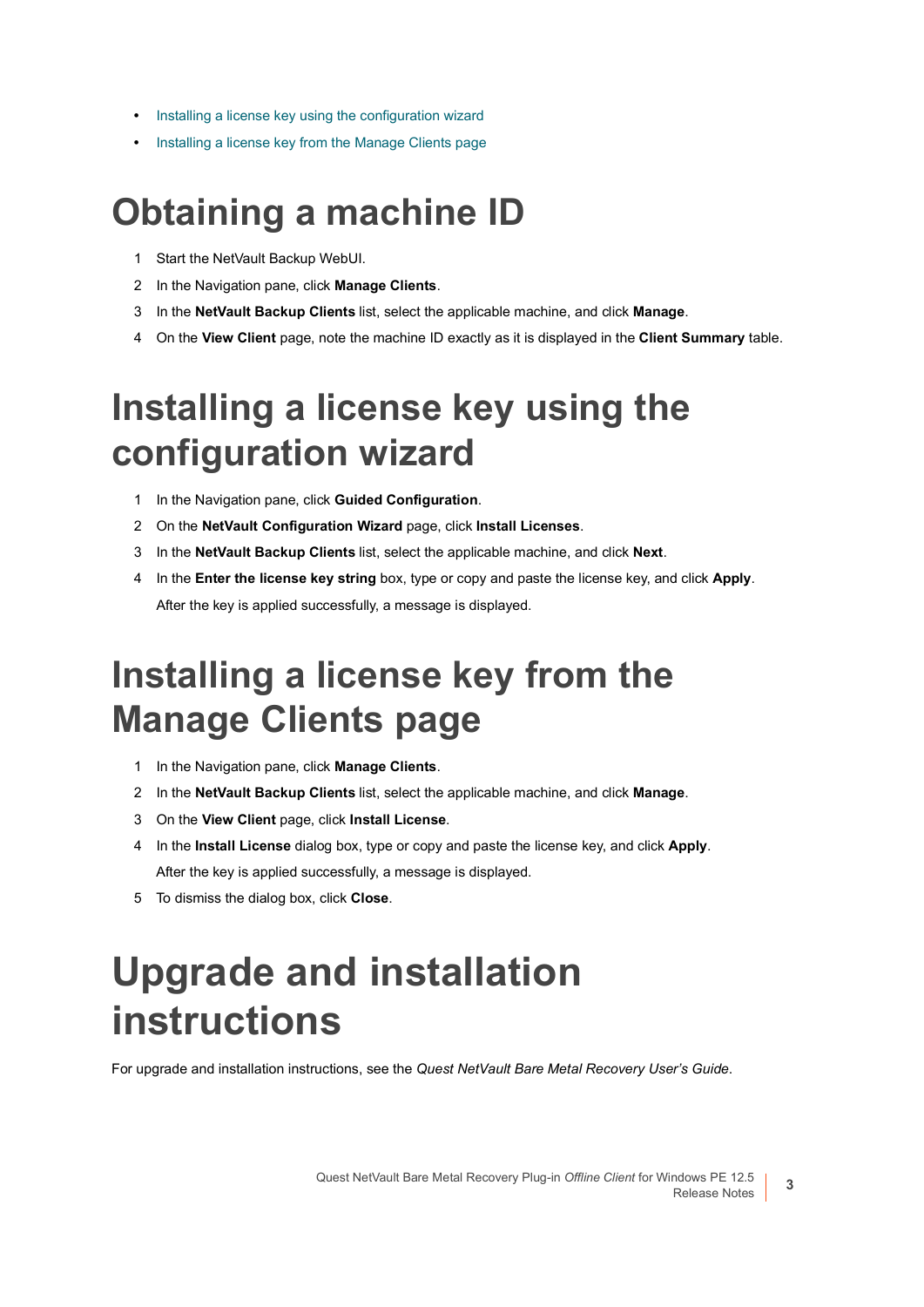- **•** [Installing a license key using the configuration wizard](#page-2-2)
- **•** [Installing a license key from the Manage Clients page](#page-2-3)

### <span id="page-2-1"></span>**Obtaining a machine ID**

- 1 Start the NetVault Backup WebUI.
- 2 In the Navigation pane, click **Manage Clients**.
- 3 In the **NetVault Backup Clients** list, select the applicable machine, and click **Manage**.
- 4 On the **View Client** page, note the machine ID exactly as it is displayed in the **Client Summary** table.

## <span id="page-2-2"></span>**Installing a license key using the configuration wizard**

- 1 In the Navigation pane, click **Guided Configuration**.
- 2 On the **NetVault Configuration Wizard** page, click **Install Licenses**.
- 3 In the **NetVault Backup Clients** list, select the applicable machine, and click **Next**.
- 4 In the **Enter the license key string** box, type or copy and paste the license key, and click **Apply**. After the key is applied successfully, a message is displayed.

### <span id="page-2-3"></span>**Installing a license key from the Manage Clients page**

- 1 In the Navigation pane, click **Manage Clients**.
- 2 In the **NetVault Backup Clients** list, select the applicable machine, and click **Manage**.
- 3 On the **View Client** page, click **Install License**.
- 4 In the **Install License** dialog box, type or copy and paste the license key, and click **Apply**. After the key is applied successfully, a message is displayed.
- 5 To dismiss the dialog box, click **Close**.

# <span id="page-2-0"></span>**Upgrade and installation instructions**

For upgrade and installation instructions, see the *Quest NetVault Bare Metal Recovery User's Guide*.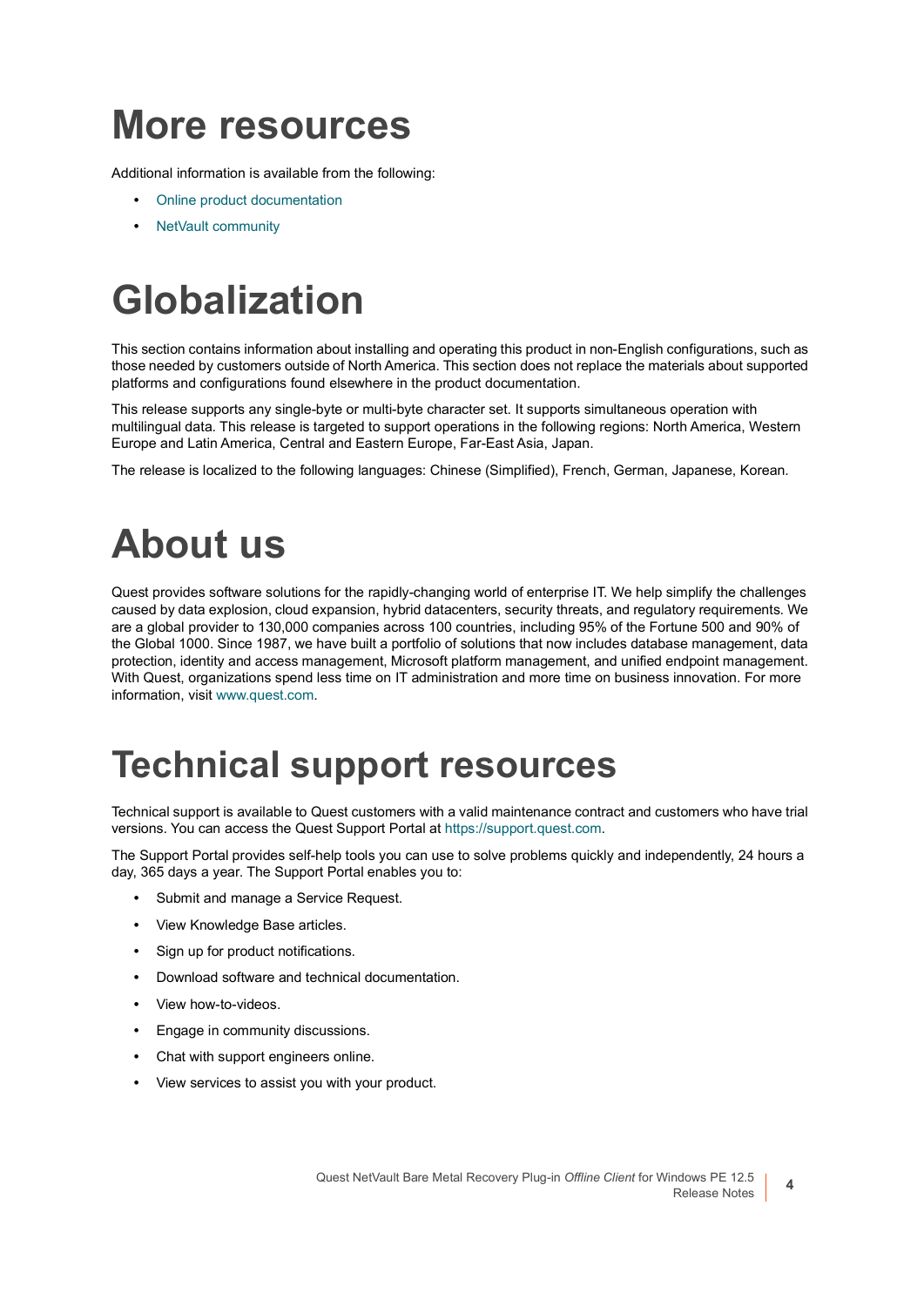## <span id="page-3-0"></span>**More resources**

Additional information is available from the following:

- **•** [Online product documentation](https://support.quest.com/technical-documents/)
- **•** [NetVault community](https://www.quest.com/community/products/netvault/)

# <span id="page-3-1"></span>**Globalization**

This section contains information about installing and operating this product in non-English configurations, such as those needed by customers outside of North America. This section does not replace the materials about supported platforms and configurations found elsewhere in the product documentation.

This release supports any single-byte or multi-byte character set. It supports simultaneous operation with multilingual data. This release is targeted to support operations in the following regions: North America, Western Europe and Latin America, Central and Eastern Europe, Far-East Asia, Japan.

The release is localized to the following languages: Chinese (Simplified), French, German, Japanese, Korean.

# <span id="page-3-2"></span>**About us**

Quest provides software solutions for the rapidly-changing world of enterprise IT. We help simplify the challenges caused by data explosion, cloud expansion, hybrid datacenters, security threats, and regulatory requirements. We are a global provider to 130,000 companies across 100 countries, including 95% of the Fortune 500 and 90% of the Global 1000. Since 1987, we have built a portfolio of solutions that now includes database management, data protection, identity and access management, Microsoft platform management, and unified endpoint management. With Quest, organizations spend less time on IT administration and more time on business innovation. For more information, visit [www.quest.com](https://www.quest.com/company/contact-us.aspx).

### **Technical support resources**

Technical support is available to Quest customers with a valid maintenance contract and customers who have trial versions. You can access the Quest Support Portal at [https://support.quest.com.](https://support.quest.com)

The Support Portal provides self-help tools you can use to solve problems quickly and independently, 24 hours a day, 365 days a year. The Support Portal enables you to:

- **•** Submit and manage a Service Request.
- **•** View Knowledge Base articles.
- **•** Sign up for product notifications.
- **•** Download software and technical documentation.
- **•** View how-to-videos.
- **•** Engage in community discussions.
- **•** Chat with support engineers online.
- **•** View services to assist you with your product.